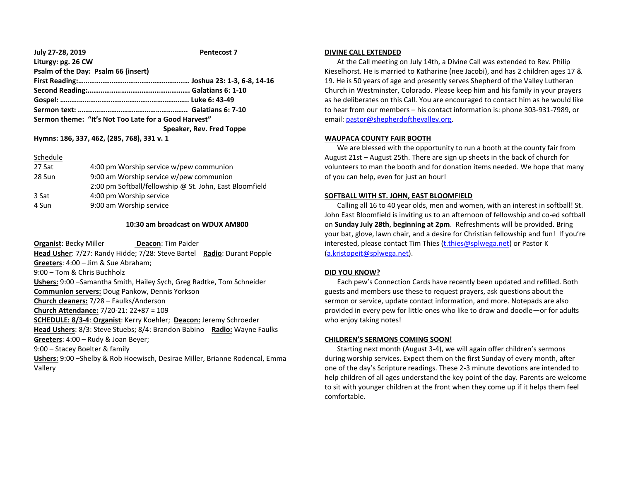#### **July 27-28, 2019 Pentecost 7 Liturgy: pg. 26 CW**

| Sermon theme: "It's Not Too Late for a Good Harvest" |
|------------------------------------------------------|
| Speaker, Rev. Fred Toppe                             |
| Hymns: 186, 337, 462, (285, 768), 331 v. 1           |
|                                                      |

### Schedule

| 27 Sat | 4:00 pm Worship service w/pew communion                 |
|--------|---------------------------------------------------------|
| 28 Sun | 9:00 am Worship service w/pew communion                 |
|        | 2:00 pm Softball/fellowship @ St. John, East Bloomfield |
| 3 Sat  | 4:00 pm Worship service                                 |
| 4 Sun  | 9:00 am Worship service                                 |

# **10:30 am broadcast on WDUX AM800**

**Organist: Becky Miller <b>Deacon:** Tim Paider **Head Usher**: 7/27: Randy Hidde; 7/28: Steve Bartel **Radio**: Durant Popple **Greeters**: 4:00 – Jim & Sue Abraham; 9:00 – Tom & Chris Buchholz **Ushers:** 9:00 –Samantha Smith, Hailey Sych, Greg Radtke, Tom Schneider **Communion servers:** Doug Pankow, Dennis Yorkson **Church cleaners:** 7/28 – Faulks/Anderson **Church Attendance:** 7/20-21: 22+87 = 109 **SCHEDULE: 8/3-4**: **Organist**: Kerry Koehler; **Deacon:** Jeremy Schroeder **Head Ushers**: 8/3: Steve Stuebs; 8/4: Brandon Babino **Radio:** Wayne Faulks **Greeters**: 4:00 – Rudy & Joan Beyer; 9:00 – Stacey Boelter & family **Ushers:** 9:00 –Shelby & Rob Hoewisch, Desirae Miller, Brianne Rodencal, Emma Vallery

# **DIVINE CALL EXTENDED**

 At the Call meeting on July 14th, a Divine Call was extended to Rev. Philip Kieselhorst. He is married to Katharine (nee Jacobi), and has 2 children ages 17 & 19. He is 50 years of age and presently serves Shepherd of the Valley Lutheran Church in Westminster, Colorado. Please keep him and his family in your prayers as he deliberates on this Call. You are encouraged to contact him as he would like to hear from our members – his contact information is: phone 303-931-7989, or email[: pastor@shepherdofthevalley.org.](mailto:pastor@shepherdofthevalley.org)

# **WAUPACA COUNTY FAIR BOOTH**

 We are blessed with the opportunity to run a booth at the county fair from August 21st – August 25th. There are sign up sheets in the back of church for volunteers to man the booth and for donation items needed. We hope that many of you can help, even for just an hour!

# **SOFTBALL WITH ST. JOHN, EAST BLOOMFIELD**

 Calling all 16 to 40 year olds, men and women, with an interest in softball! St. John East Bloomfield is inviting us to an afternoon of fellowship and co-ed softball on **Sunday July 28th**, **beginning at 2pm**. Refreshments will be provided. Bring your bat, glove, lawn chair, and a desire for Christian fellowship and fun! If you're interested, please contact Tim Thies [\(t.thies@splwega.net\)](mailto:t.thies@splwega.net) or Pastor K [\(a.kristopeit@splwega.net\)](mailto:a.kristopeit@splwega.net).

# **DID YOU KNOW?**

 Each pew's Connection Cards have recently been updated and refilled. Both guests and members use these to request prayers, ask questions about the sermon or service, update contact information, and more. Notepads are also provided in every pew for little ones who like to draw and doodle—or for adults who enjoy taking notes!

# **CHILDREN'S SERMONS COMING SOON!**

 Starting next month (August 3-4), we will again offer children's sermons during worship services. Expect them on the first Sunday of every month, after one of the day's Scripture readings. These 2-3 minute devotions are intended to help children of all ages understand the key point of the day. Parents are welcome to sit with younger children at the front when they come up if it helps them feel comfortable.